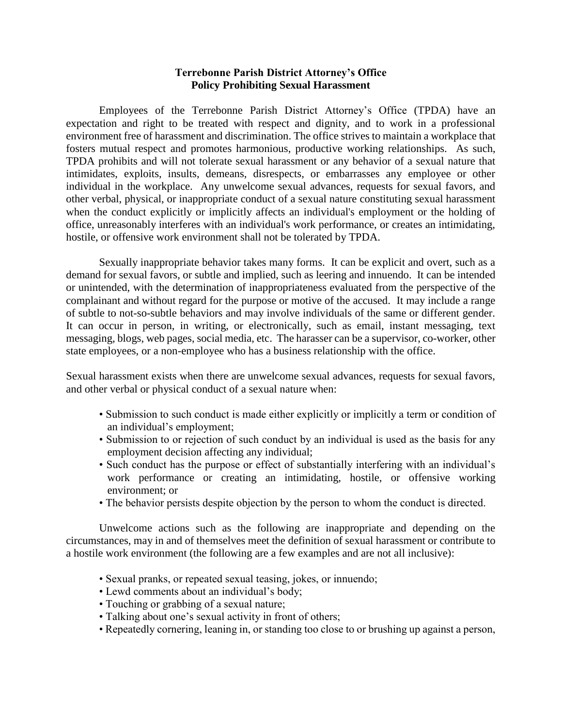## **Terrebonne Parish District Attorney's Office Policy Prohibiting Sexual Harassment**

Employees of the Terrebonne Parish District Attorney's Office (TPDA) have an expectation and right to be treated with respect and dignity, and to work in a professional environment free of harassment and discrimination. The office strives to maintain a workplace that fosters mutual respect and promotes harmonious, productive working relationships. As such, TPDA prohibits and will not tolerate sexual harassment or any behavior of a sexual nature that intimidates, exploits, insults, demeans, disrespects, or embarrasses any employee or other individual in the workplace. Any unwelcome sexual advances, requests for sexual favors, and other verbal, physical, or inappropriate conduct of a sexual nature constituting sexual harassment when the conduct explicitly or implicitly affects an individual's employment or the holding of office, unreasonably interferes with an individual's work performance, or creates an intimidating, hostile, or offensive work environment shall not be tolerated by TPDA.

Sexually inappropriate behavior takes many forms. It can be explicit and overt, such as a demand for sexual favors, or subtle and implied, such as leering and innuendo. It can be intended or unintended, with the determination of inappropriateness evaluated from the perspective of the complainant and without regard for the purpose or motive of the accused. It may include a range of subtle to not-so-subtle behaviors and may involve individuals of the same or different gender. It can occur in person, in writing, or electronically, such as email, instant messaging, text messaging, blogs, web pages, social media, etc. The harasser can be a supervisor, co-worker, other state employees, or a non-employee who has a business relationship with the office.

Sexual harassment exists when there are unwelcome sexual advances, requests for sexual favors, and other verbal or physical conduct of a sexual nature when:

- Submission to such conduct is made either explicitly or implicitly a term or condition of an individual's employment;
- Submission to or rejection of such conduct by an individual is used as the basis for any employment decision affecting any individual;
- Such conduct has the purpose or effect of substantially interfering with an individual's work performance or creating an intimidating, hostile, or offensive working environment; or
- The behavior persists despite objection by the person to whom the conduct is directed.

Unwelcome actions such as the following are inappropriate and depending on the circumstances, may in and of themselves meet the definition of sexual harassment or contribute to a hostile work environment (the following are a few examples and are not all inclusive):

- Sexual pranks, or repeated sexual teasing, jokes, or innuendo;
- Lewd comments about an individual's body;
- Touching or grabbing of a sexual nature;
- Talking about one's sexual activity in front of others;
- Repeatedly cornering, leaning in, or standing too close to or brushing up against a person,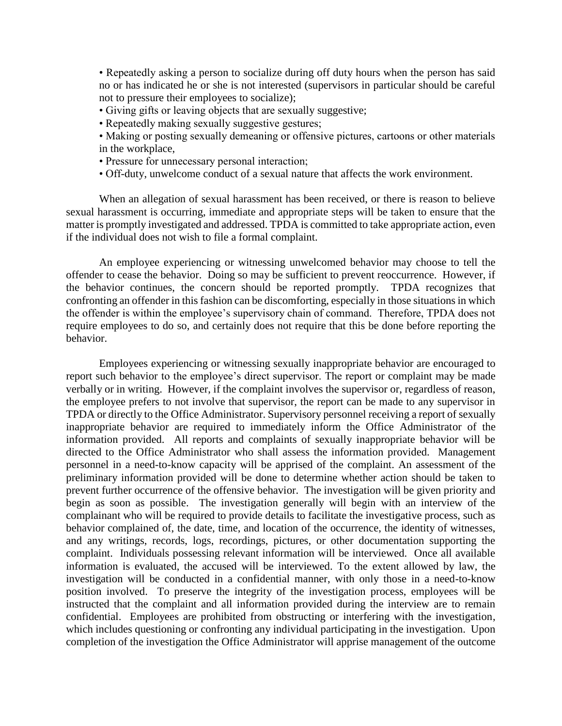• Repeatedly asking a person to socialize during off duty hours when the person has said no or has indicated he or she is not interested (supervisors in particular should be careful not to pressure their employees to socialize);

- Giving gifts or leaving objects that are sexually suggestive;
- Repeatedly making sexually suggestive gestures;
- Making or posting sexually demeaning or offensive pictures, cartoons or other materials in the workplace,
- Pressure for unnecessary personal interaction;
- Off-duty, unwelcome conduct of a sexual nature that affects the work environment.

When an allegation of sexual harassment has been received, or there is reason to believe sexual harassment is occurring, immediate and appropriate steps will be taken to ensure that the matter is promptly investigated and addressed. TPDA is committed to take appropriate action, even if the individual does not wish to file a formal complaint.

An employee experiencing or witnessing unwelcomed behavior may choose to tell the offender to cease the behavior. Doing so may be sufficient to prevent reoccurrence. However, if the behavior continues, the concern should be reported promptly. TPDA recognizes that confronting an offender in this fashion can be discomforting, especially in those situations in which the offender is within the employee's supervisory chain of command. Therefore, TPDA does not require employees to do so, and certainly does not require that this be done before reporting the behavior.

Employees experiencing or witnessing sexually inappropriate behavior are encouraged to report such behavior to the employee's direct supervisor. The report or complaint may be made verbally or in writing. However, if the complaint involves the supervisor or, regardless of reason, the employee prefers to not involve that supervisor, the report can be made to any supervisor in TPDA or directly to the Office Administrator. Supervisory personnel receiving a report of sexually inappropriate behavior are required to immediately inform the Office Administrator of the information provided. All reports and complaints of sexually inappropriate behavior will be directed to the Office Administrator who shall assess the information provided. Management personnel in a need-to-know capacity will be apprised of the complaint. An assessment of the preliminary information provided will be done to determine whether action should be taken to prevent further occurrence of the offensive behavior. The investigation will be given priority and begin as soon as possible. The investigation generally will begin with an interview of the complainant who will be required to provide details to facilitate the investigative process, such as behavior complained of, the date, time, and location of the occurrence, the identity of witnesses, and any writings, records, logs, recordings, pictures, or other documentation supporting the complaint. Individuals possessing relevant information will be interviewed. Once all available information is evaluated, the accused will be interviewed. To the extent allowed by law, the investigation will be conducted in a confidential manner, with only those in a need-to-know position involved. To preserve the integrity of the investigation process, employees will be instructed that the complaint and all information provided during the interview are to remain confidential. Employees are prohibited from obstructing or interfering with the investigation, which includes questioning or confronting any individual participating in the investigation. Upon completion of the investigation the Office Administrator will apprise management of the outcome